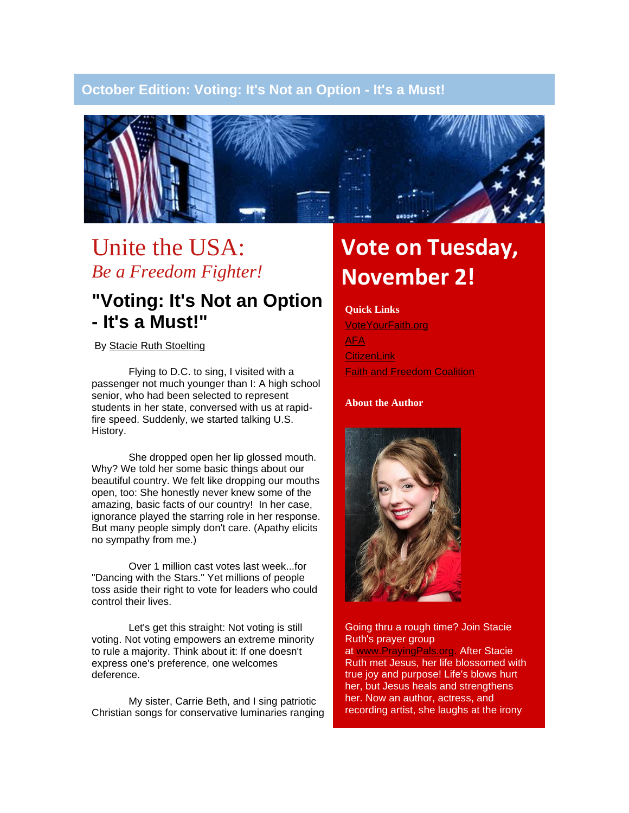### **October Edition: Voting: It's Not an Option - It's a Must!**



## Unite the USA: *Be a Freedom Fighter!*

### **"Voting: It's Not an Option - It's a Must!"**

By [Stacie Ruth Stoelting](http://www.brightlightministries.com/)

Flying to D.C. to sing, I visited with a passenger not much younger than I: A high school senior, who had been selected to represent students in her state, conversed with us at rapidfire speed. Suddenly, we started talking U.S. History.

She dropped open her lip glossed mouth. Why? We told her some basic things about our beautiful country. We felt like dropping our mouths open, too: She honestly never knew some of the amazing, basic facts of our country! In her case, ignorance played the starring role in her response. But many people simply don't care. (Apathy elicits no sympathy from me.)

Over 1 million cast votes last week...for "Dancing with the Stars." Yet millions of people toss aside their right to vote for leaders who could control their lives.

Let's get this straight: Not voting is still voting. Not voting empowers an extreme minority to rule a majority. Think about it: If one doesn't express one's preference, one welcomes deference.

My sister, Carrie Beth, and I sing patriotic Christian songs for conservative luminaries ranging

# **Vote on Tuesday, November 2!**

#### **Quick Links**

[VoteYourFaith.org](http://www.voteyourfaith.org/) [AFA](http://www.afa.net/) **[CitizenLink](http://www.citizenlink.com/) [Faith and Freedom Coalition](http://www.ffcoalition.com/)** 

#### **About the Author**



Going thru a rough time? Join Stacie Ruth's prayer group

at [www.PrayingPals.org.](http://www.prayingpals.org/) After Stacie Ruth met Jesus, her life blossomed with true joy and purpose! Life's blows hurt her, but Jesus heals and strengthens her. Now an author, actress, and recording artist, she laughs at the irony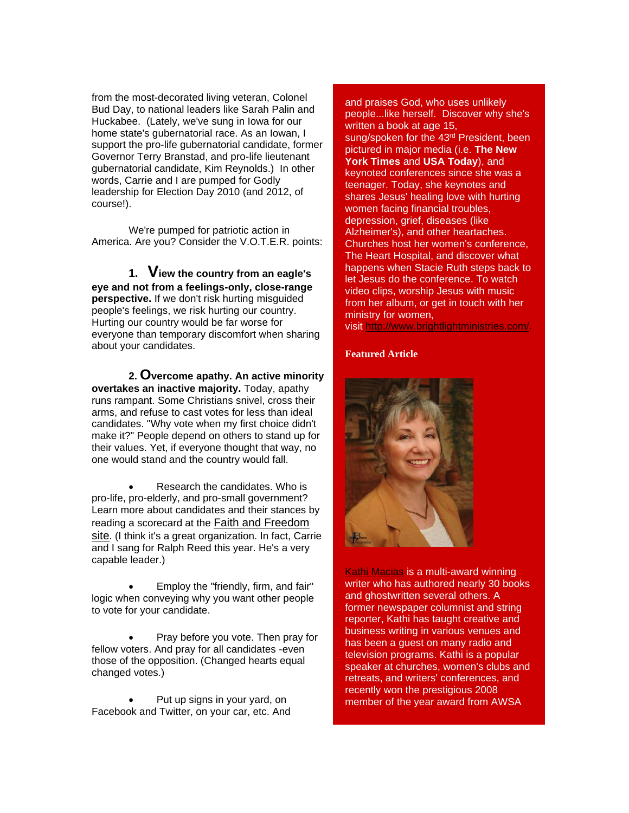from the most-decorated living veteran, Colonel Bud Day, to national leaders like Sarah Palin and Huckabee. (Lately, we've sung in Iowa for our home state's gubernatorial race. As an Iowan, I support the pro-life gubernatorial candidate, former Governor Terry Branstad, and pro-life lieutenant gubernatorial candidate, Kim Reynolds.) In other words, Carrie and I are pumped for Godly leadership for Election Day 2010 (and 2012, of course!).

We're pumped for patriotic action in America. Are you? Consider the V.O.T.E.R. points:

**1. View the country from an eagle's eye and not from a feelings-only, close-range perspective.** If we don't risk hurting misguided people's feelings, we risk hurting our country. Hurting our country would be far worse for everyone than temporary discomfort when sharing about your candidates.

**2. Overcome apathy. An active minority overtakes an inactive majority.** Today, apathy runs rampant. Some Christians snivel, cross their arms, and refuse to cast votes for less than ideal candidates. "Why vote when my first choice didn't make it?" People depend on others to stand up for their values. Yet, if everyone thought that way, no one would stand and the country would fall.

• Research the candidates. Who is pro-life, pro-elderly, and pro-small government? Learn more about candidates and their stances by reading a scorecard at the [Faith and Freedom](http://www.ffcoalition.com/)  [site](http://www.ffcoalition.com/). (I think it's a great organization. In fact, Carrie and I sang for Ralph Reed this year. He's a very capable leader.)

• Employ the "friendly, firm, and fair" logic when conveying why you want other people to vote for your candidate.

• Pray before you vote. Then pray for fellow voters. And pray for all candidates -even those of the opposition. (Changed hearts equal changed votes.)

Put up signs in your yard, on Facebook and Twitter, on your car, etc. And and praises God, who uses unlikely people...like herself. Discover why she's written a book at age 15, sung/spoken for the 43<sup>rd</sup> President, been pictured in major media (i.e. **The New York Times** and **USA Today**), and keynoted conferences since she was a teenager. Today, she keynotes and shares Jesus' healing love with hurting women facing financial troubles, depression, grief, diseases (like Alzheimer's), and other heartaches. Churches host her women's conference, The Heart Hospital, and discover what happens when Stacie Ruth steps back to let Jesus do the conference. To watch video clips, worship Jesus with music from her album, or get in touch with her ministry for women,

visit <http://www.brightlightministries.com/>*.*

#### **Featured Article**



[Kathi Macias](http://www.kathimacias.com/) is a multi-award winning writer who has authored nearly 30 books and ghostwritten several others. A former newspaper columnist and string reporter, Kathi has taught creative and business writing in various venues and has been a guest on many radio and television programs. Kathi is a popular speaker at churches, women's clubs and retreats, and writers' conferences, and recently won the prestigious 2008 member of the year award from AWSA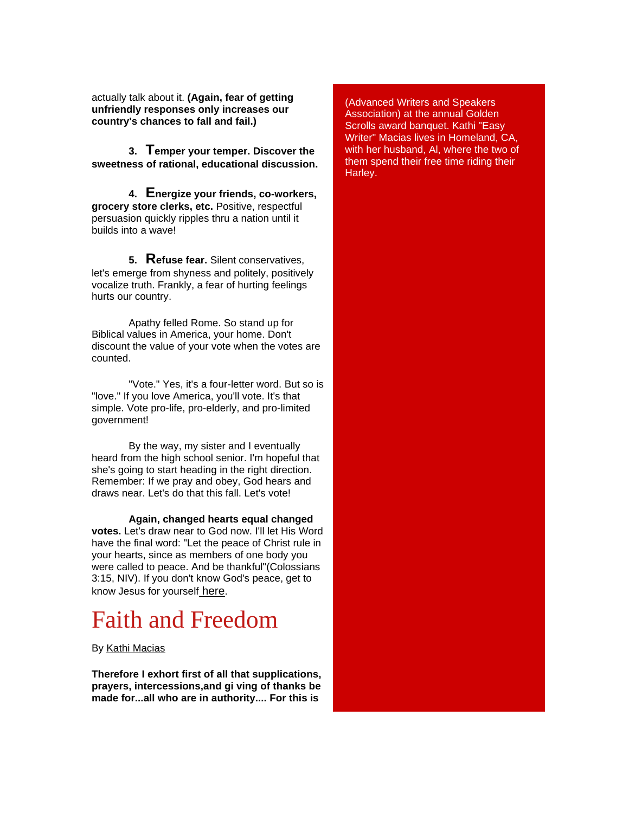actually talk about it. **(Again, fear of getting unfriendly responses only increases our country's chances to fall and fail.)**

**3. Temper your temper. Discover the sweetness of rational, educational discussion.**

**4. Energize your friends, co-workers, grocery store clerks, etc.** Positive, respectful persuasion quickly ripples thru a nation until it builds into a wave!

**5. Refuse fear.** Silent conservatives, let's emerge from shyness and politely, positively vocalize truth. Frankly, a fear of hurting feelings hurts our country.

Apathy felled Rome. So stand up for Biblical values in America, your home. Don't discount the value of your vote when the votes are counted.

"Vote." Yes, it's a four-letter word. But so is "love." If you love America, you'll vote. It's that simple. Vote pro-life, pro-elderly, and pro-limited government!

By the way, my sister and I eventually heard from the high school senior. I'm hopeful that she's going to start heading in the right direction. Remember: If we pray and obey, God hears and draws near. Let's do that this fall. Let's vote!

**Again, changed hearts equal changed votes.** Let's draw near to God now. I'll let His Word have the final word: "Let the peace of Christ rule in your hearts, since as members of one body you were called to peace. And be thankful"(Colossians 3:15, NIV). If you don't know God's peace, get to know Jesus for yourself [here](http://www.brightlightministries.com/whoisjesus.html).

# Faith and Freedom

By [Kathi Macias](http://r20.rs6.net/tn.jsp?llr=4h4hhncab&et=1103828192737&s=1&e=001Jz_mAT9DSuudcC9-rxS-zQXg42thpDhEgFIqliTiuqT94Ksdl8rJjf9BNjsUzMDXqwB6kjFC5kEVAgJ7g8sdXFGtInRFHQVjYYNHemuvkEw=)

**Therefore I exhort first of all that supplications, prayers, intercessions,and gi ving of thanks be made for...all who are in authority.... For this is** 

(Advanced Writers and Speakers Association) at the annual Golden Scrolls award banquet. Kathi "Easy Writer" Macias lives in Homeland, CA, with her husband, Al, where the two of them spend their free time riding their Harley.